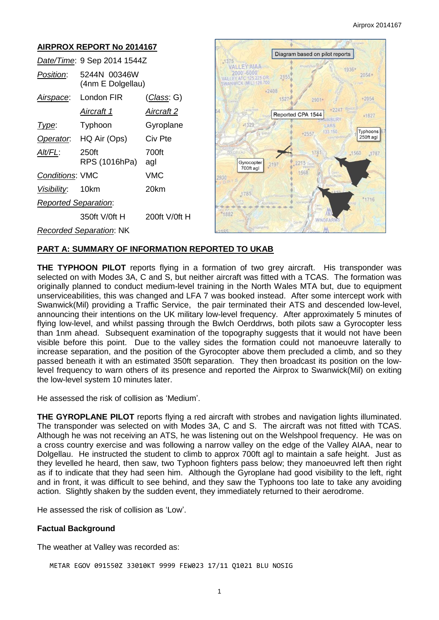4787

#### **AIRPROX REPORT No 2014167**  Diagram based on pilot reports *Date/Time*: 9 Sep 2014 1544Z  $1375$ **VALLEY-AIAA** 1936 2000'-6000'<br>VALLEY ATC 125 225 OR *Position*: 5244N 00346W  $2054 215!$ (4nm E Dolgellau)  $-2408$ *Airspace*: London FIR (*Class*: G) 1527 2901  $-2054$ *Aircraft 1 Aircraft 2* Reported CPA 1544 +1827 **BUR Type:** Typhoon Gyroplane  $-1329$ Typhoons  $-2557$ *Operator*: HQ Air (Ops) Civ Pte 250ft agl *Alt/FL*: 250ft 700ft 1560 RPS (1016hPa) agl Gyrocopter 700ft agl 1568 *Conditions*: VMC VMC 2930 *Visibility*: 10km 20km 1785 <sup>\*</sup>1716 *Reported Separation*: \*1882 350ft V/0ft H 200ft V/0ft H **WINDFAR** *Recorded Separation*: NK

# **PART A: SUMMARY OF INFORMATION REPORTED TO UKAB**

**THE TYPHOON PILOT** reports flying in a formation of two grey aircraft. His transponder was selected on with Modes 3A, C and S, but neither aircraft was fitted with a TCAS. The formation was originally planned to conduct medium-level training in the North Wales MTA but, due to equipment unserviceabilities, this was changed and LFA 7 was booked instead. After some intercept work with Swanwick(Mil) providing a Traffic Service, the pair terminated their ATS and descended low-level, announcing their intentions on the UK military low-level frequency. After approximately 5 minutes of flying low-level, and whilst passing through the Bwlch Oerddrws, both pilots saw a Gyrocopter less than 1nm ahead. Subsequent examination of the topography suggests that it would not have been visible before this point. Due to the valley sides the formation could not manoeuvre laterally to increase separation, and the position of the Gyrocopter above them precluded a climb, and so they passed beneath it with an estimated 350ft separation. They then broadcast its position on the lowlevel frequency to warn others of its presence and reported the Airprox to Swanwick(Mil) on exiting the low-level system 10 minutes later.

He assessed the risk of collision as 'Medium'.

**THE GYROPLANE PILOT** reports flying a red aircraft with strobes and navigation lights illuminated. The transponder was selected on with Modes 3A, C and S. The aircraft was not fitted with TCAS. Although he was not receiving an ATS, he was listening out on the Welshpool frequency. He was on a cross country exercise and was following a narrow valley on the edge of the Valley AIAA, near to Dolgellau. He instructed the student to climb to approx 700ft agl to maintain a safe height. Just as they levelled he heard, then saw, two Typhoon fighters pass below; they manoeuvred left then right as if to indicate that they had seen him. Although the Gyroplane had good visibility to the left, right and in front, it was difficult to see behind, and they saw the Typhoons too late to take any avoiding action. Slightly shaken by the sudden event, they immediately returned to their aerodrome.

He assessed the risk of collision as 'Low'.

#### **Factual Background**

The weather at Valley was recorded as:

METAR EGOV 091550Z 33010KT 9999 FEW023 17/11 Q1021 BLU NOSIG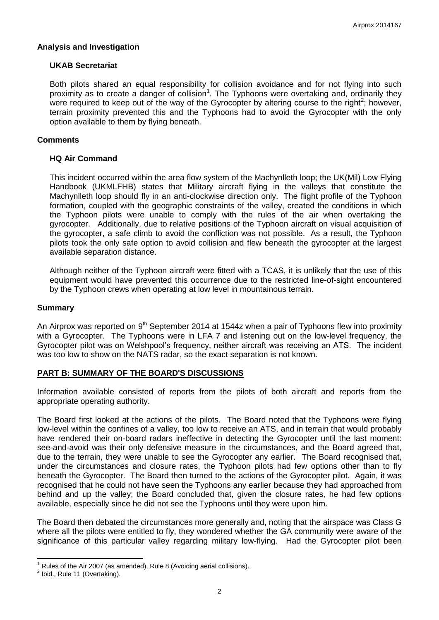## **Analysis and Investigation**

## **UKAB Secretariat**

Both pilots shared an equal responsibility for collision avoidance and for not flying into such proximity as to create a danger of collision<sup>1</sup>. The Typhoons were overtaking and, ordinarily they were required to keep out of the way of the Gyrocopter by altering course to the right<sup>2</sup>; however, terrain proximity prevented this and the Typhoons had to avoid the Gyrocopter with the only option available to them by flying beneath.

## **Comments**

## **HQ Air Command**

This incident occurred within the area flow system of the Machynlleth loop; the UK(Mil) Low Flying Handbook (UKMLFHB) states that Military aircraft flying in the valleys that constitute the Machynlleth loop should fly in an anti-clockwise direction only. The flight profile of the Typhoon formation, coupled with the geographic constraints of the valley, created the conditions in which the Typhoon pilots were unable to comply with the rules of the air when overtaking the gyrocopter. Additionally, due to relative positions of the Typhoon aircraft on visual acquisition of the gyrocopter, a safe climb to avoid the confliction was not possible. As a result, the Typhoon pilots took the only safe option to avoid collision and flew beneath the gyrocopter at the largest available separation distance.

Although neither of the Typhoon aircraft were fitted with a TCAS, it is unlikely that the use of this equipment would have prevented this occurrence due to the restricted line-of-sight encountered by the Typhoon crews when operating at low level in mountainous terrain.

#### **Summary**

An Airprox was reported on  $9<sup>th</sup>$  September 2014 at 1544z when a pair of Typhoons flew into proximity with a Gyrocopter. The Typhoons were in LFA 7 and listening out on the low-level frequency, the Gyrocopter pilot was on Welshpool's frequency, neither aircraft was receiving an ATS. The incident was too low to show on the NATS radar, so the exact separation is not known.

# **PART B: SUMMARY OF THE BOARD'S DISCUSSIONS**

Information available consisted of reports from the pilots of both aircraft and reports from the appropriate operating authority.

The Board first looked at the actions of the pilots. The Board noted that the Typhoons were flying low-level within the confines of a valley, too low to receive an ATS, and in terrain that would probably have rendered their on-board radars ineffective in detecting the Gyrocopter until the last moment: see-and-avoid was their only defensive measure in the circumstances, and the Board agreed that, due to the terrain, they were unable to see the Gyrocopter any earlier. The Board recognised that, under the circumstances and closure rates, the Typhoon pilots had few options other than to fly beneath the Gyrocopter. The Board then turned to the actions of the Gyrocopter pilot. Again, it was recognised that he could not have seen the Typhoons any earlier because they had approached from behind and up the valley; the Board concluded that, given the closure rates, he had few options available, especially since he did not see the Typhoons until they were upon him.

The Board then debated the circumstances more generally and, noting that the airspace was Class G where all the pilots were entitled to fly, they wondered whether the GA community were aware of the significance of this particular valley regarding military low-flying. Had the Gyrocopter pilot been

 $\overline{\phantom{a}}$ 

<sup>1</sup> Rules of the Air 2007 (as amended), Rule 8 (Avoiding aerial collisions).

 $<sup>2</sup>$  Ibid., Rule 11 (Overtaking).</sup>